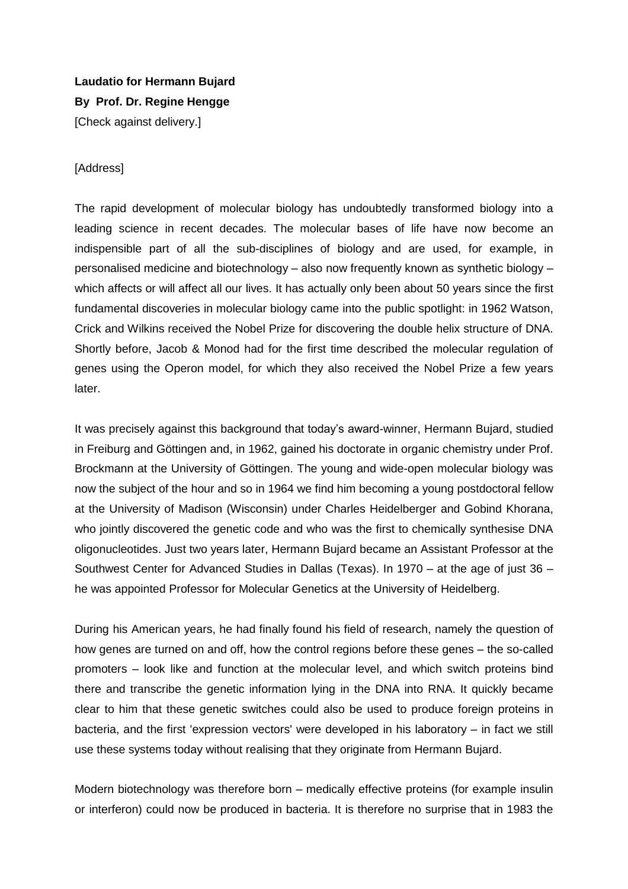**Laudatio for Hermann Bujard By Prof. Dr. Regine Hengge** [Check against delivery.]

## **[Address]**

The rapid development of molecular biology has undoubtedly transformed biology into a leading science in recent decades. The molecular bases of life have now become an indispensible part of all the sub-disciplines of biology and are used, for example, in personalised medicine and biotechnology – also now frequently known as synthetic biology – which affects or will affect all our lives. It has actually only been about 50 years since the first fundamental discoveries in molecular biology came into the public spotlight: in 1962 Watson, Crick and Wilkins received the Nobel Prize for discovering the double helix structure of DNA. Shortly before, Jacob & Monod had for the first time described the molecular regulation of genes using the Operon model, for which they also received the Nobel Prize a few years later.

It was precisely against this background that today's award-winner, Hermann Bujard, studied in Freiburg and Göttingen and, in 1962, gained his doctorate in organic chemistry under Prof. Brockmann at the University of Göttingen. The young and wide-open molecular biology was now the subject of the hour and so in 1964 we find him becoming a young postdoctoral fellow at the University of Madison (Wisconsin) under Charles Heidelberger and Gobind Khorana, who jointly discovered the genetic code and who was the first to chemically synthesise DNA oligonucleotides. Just two years later, Hermann Bujard became an Assistant Professor at the Southwest Center for Advanced Studies in Dallas (Texas). In 1970 – at the age of just 36 – he was appointed Professor for Molecular Genetics at the University of Heidelberg.

During his American years, he had finally found his field of research, namely the question of how genes are turned on and off, how the control regions before these genes – the so-called promoters – look like and function at the molecular level, and which switch proteins bind there and transcribe the genetic information lying in the DNA into RNA. It quickly became clear to him that these genetic switches could also be used to produce foreign proteins in bacteria, and the first 'expression vectors' were developed in his laboratory – in fact we still use these systems today without realising that they originate from Hermann Bujard.

Modern biotechnology was therefore born – medically effective proteins (for example insulin or interferon) could now be produced in bacteria. It is therefore no surprise that in 1983 the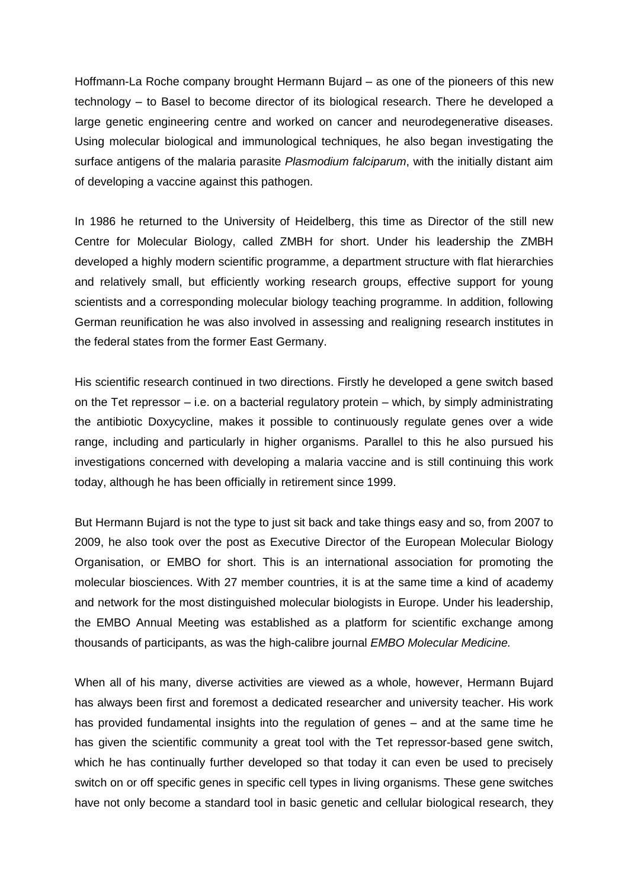Hoffmann-La Roche company brought Hermann Bujard – as one of the pioneers of this new technology – to Basel to become director of its biological research. There he developed a large genetic engineering centre and worked on cancer and neurodegenerative diseases. Using molecular biological and immunological techniques, he also began investigating the surface antigens of the malaria parasite *Plasmodium falciparum*, with the initially distant aim of developing a vaccine against this pathogen.

In 1986 he returned to the University of Heidelberg, this time as Director of the still new Centre for Molecular Biology, called ZMBH for short. Under his leadership the ZMBH developed a highly modern scientific programme, a department structure with flat hierarchies and relatively small, but efficiently working research groups, effective support for young scientists and a corresponding molecular biology teaching programme. In addition, following German reunification he was also involved in assessing and realigning research institutes in the federal states from the former East Germany.

His scientific research continued in two directions. Firstly he developed a gene switch based on the Tet repressor  $-$  i.e. on a bacterial regulatory protein  $-$  which, by simply administrating the antibiotic Doxycycline, makes it possible to continuously regulate genes over a wide range, including and particularly in higher organisms. Parallel to this he also pursued his investigations concerned with developing a malaria vaccine and is still continuing this work today, although he has been officially in retirement since 1999.

But Hermann Bujard is not the type to just sit back and take things easy and so, from 2007 to 2009, he also took over the post as Executive Director of the European Molecular Biology Organisation, or EMBO for short. This is an international association for promoting the molecular biosciences. With 27 member countries, it is at the same time a kind of academy and network for the most distinguished molecular biologists in Europe. Under his leadership, the EMBO Annual Meeting was established as a platform for scientific exchange among thousands of participants, as was the high-calibre journal *EMBO Molecular Medicine.*

When all of his many, diverse activities are viewed as a whole, however, Hermann Bujard has always been first and foremost a dedicated researcher and university teacher. His work has provided fundamental insights into the regulation of genes – and at the same time he has given the scientific community a great tool with the Tet repressor-based gene switch, which he has continually further developed so that today it can even be used to precisely switch on or off specific genes in specific cell types in living organisms. These gene switches have not only become a standard tool in basic genetic and cellular biological research, they